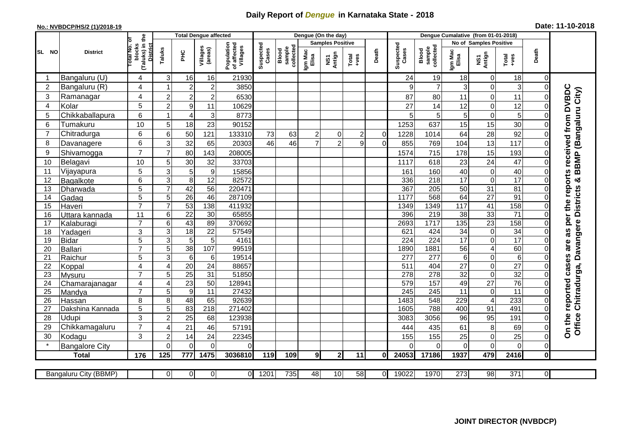## **Daily Report of** *Dengue* **in Karnataka State - 2018**

## **No.: NVBDCP/HS/2 (1)/2018-19 Date: 11-10-2018**

|                                                                                                                                                                                                 | <b>District</b>          |                                                      | <b>Total Dengue affected</b> |                       |                     |                                       |                    |                              |                         | Dengue (On the day) |                  |                |                        |                              |                  |                             |                       |                         |                                                                                    |
|-------------------------------------------------------------------------------------------------------------------------------------------------------------------------------------------------|--------------------------|------------------------------------------------------|------------------------------|-----------------------|---------------------|---------------------------------------|--------------------|------------------------------|-------------------------|---------------------|------------------|----------------|------------------------|------------------------------|------------------|-----------------------------|-----------------------|-------------------------|------------------------------------------------------------------------------------|
|                                                                                                                                                                                                 |                          |                                                      |                              |                       |                     |                                       |                    |                              | <b>Samples Positive</b> |                     |                  |                | No of Samples Positive |                              |                  |                             |                       |                         |                                                                                    |
| SL NO                                                                                                                                                                                           |                          | (Taluks) in the<br>District<br>otal No. ol<br>blocks | Taluks                       | Ξ                     | Villages<br>(areas) | Population<br>of affected<br>Villages | Suspected<br>Cases | collected<br>Blood<br>sample | Igm Mac<br>Elisa        | NS1<br>Antign       | Total<br>+ves    | Death          | Suspected<br>Cases     | collected<br>sample<br>Blood | Igm Mac<br>Elisa | NS1<br>Antign               | $Tota$<br>$+ves$      | Death                   |                                                                                    |
|                                                                                                                                                                                                 | Bangaluru (U)            | $\overline{4}$                                       | 3                            | 16                    | 16                  | 21930                                 |                    |                              |                         |                     |                  |                | 24                     | 19                           | 18               | $\mathbf 0$                 | 18                    | 0                       |                                                                                    |
| $\overline{2}$                                                                                                                                                                                  | Bangaluru (R)            | 4                                                    |                              | $\overline{c}$        | $\overline{c}$      | 3850                                  |                    |                              |                         |                     |                  |                | 9                      | $\overline{7}$               | 3                | $\mathbf 0$                 | 3                     | 0                       |                                                                                    |
| 3                                                                                                                                                                                               | Ramanagar                | 4                                                    | $\overline{c}$               | $\overline{2}$        | $\mathbf 2$         | 6530                                  |                    |                              |                         |                     |                  |                | 87                     | 80                           | 11               | $\pmb{0}$                   | 11                    | $\mathbf 0$             | reported cases are as per the reports received from DVBDC<br>BBMP (Bangaluru City) |
| 4                                                                                                                                                                                               | Kolar                    | 5                                                    | $\overline{a}$               | $\boldsymbol{9}$      | 11                  | 10629                                 |                    |                              |                         |                     |                  |                | 27                     | 14                           | 12               | $\pmb{0}$                   | 12                    | 0                       |                                                                                    |
| 5                                                                                                                                                                                               | Chikkaballapura          | 6                                                    | 1                            | 4                     | $\sqrt{3}$          | 8773                                  |                    |                              |                         |                     |                  |                | 5                      | 5                            | $\overline{5}$   | $\,0\,$                     | 5                     | 0                       |                                                                                    |
| 6                                                                                                                                                                                               | Tumakuru                 | 10                                                   | 5                            | 18                    | 23                  | 90152                                 |                    |                              |                         |                     |                  |                | 1253                   | 637                          | 15               | 15                          | 30                    | 0                       |                                                                                    |
| 7                                                                                                                                                                                               | Chitradurga              | 6                                                    | 6                            | 50                    | 121                 | 133310                                | 73                 | 63                           | $\overline{\mathbf{c}}$ | 0                   | $\boldsymbol{2}$ | $\overline{0}$ | 1228                   | 1014                         | 64               | 28                          | 92                    | 0                       |                                                                                    |
| 8                                                                                                                                                                                               | Davanagere               | 6                                                    | 3                            | 32                    | 65                  | 20303                                 | 46                 | 46                           | $\overline{7}$          | $\overline{2}$      | 9                | $\Omega$       | 855                    | 769                          | 104              | 13                          | 117                   | 0                       |                                                                                    |
| 9                                                                                                                                                                                               | Shivamogga               | $\overline{7}$                                       | $\overline{7}$               | 80                    | 143                 | 208005                                |                    |                              |                         |                     |                  |                | 1574                   | 715                          | 178              | 15                          | 193                   | 0                       |                                                                                    |
| 10                                                                                                                                                                                              | Belagavi                 | 10                                                   | 5                            | 30                    | 32                  | 33703                                 |                    |                              |                         |                     |                  |                | 1117                   | 618                          | 23               | 24                          | 47                    | $\mathbf 0$             |                                                                                    |
| 11                                                                                                                                                                                              | Vijayapura               | 5                                                    | 3                            | 5                     | $\boldsymbol{9}$    | 15856                                 |                    |                              |                         |                     |                  |                | 161                    | 160                          | 40               | $\pmb{0}$                   | 40                    | 0                       |                                                                                    |
| 12                                                                                                                                                                                              | Bagalkote                | 6                                                    | ω                            | $\overline{8}$        | $\overline{12}$     | 82572                                 |                    |                              |                         |                     |                  |                | 336                    | $\overline{218}$             | $\overline{17}$  | $\overline{0}$              | 17                    | $\overline{0}$          | න්                                                                                 |
| 13                                                                                                                                                                                              | Dharwada                 | 5                                                    | $\overline{7}$               | 42                    | $\overline{56}$     | 220471                                |                    |                              |                         |                     |                  |                | 367                    | 205                          | 50               | 31                          | 81                    | $\overline{0}$          | Davangere Districts                                                                |
| 14                                                                                                                                                                                              | Gadag                    | $\overline{5}$                                       | 5                            | $\overline{26}$       | 46                  | 287109                                |                    |                              |                         |                     |                  |                | 1177                   | 568                          | 64               | 27                          | $\overline{91}$       | $\mathbf 0$             |                                                                                    |
| 15                                                                                                                                                                                              | Haveri                   | $\overline{7}$                                       | $\overline{7}$               | 53                    | 138                 | 411932                                |                    |                              |                         |                     |                  |                | 1349                   | 1349                         | 117              | 41                          | 158                   | $\mathsf{O}\xspace$     |                                                                                    |
| 16                                                                                                                                                                                              | Uttara kannada           | 11                                                   | 6                            | $\overline{22}$       | 30                  | 65855                                 |                    |                              |                         |                     |                  |                | 396                    | $\overline{219}$             | $\overline{38}$  | 33                          | $\overline{71}$       | $\mathbf 0$             |                                                                                    |
| 17                                                                                                                                                                                              | Kalaburagi               | $\overline{7}$                                       | $\overline{6}$               | 43                    | 89                  | 370692                                |                    |                              |                         |                     |                  |                | 2693                   | 1717                         | $\frac{1}{135}$  | 23                          | 158                   | $\mathbf 0$             |                                                                                    |
| 18                                                                                                                                                                                              | Yadageri                 | 3                                                    | 3                            | 18                    | 22                  | 57549                                 |                    |                              |                         |                     |                  |                | 621                    | 424                          | 34               | $\pmb{0}$                   | 34                    | 0                       |                                                                                    |
| 19                                                                                                                                                                                              | <b>Bidar</b>             | 5                                                    | $\mathbf{3}$                 | $\overline{5}$        | 5                   | 4161                                  |                    |                              |                         |                     |                  |                | 224                    | 224                          | $\overline{17}$  | $\mathbf 0$                 | $\overline{17}$       | $\Omega$                |                                                                                    |
| 20                                                                                                                                                                                              | Ballari                  | $\overline{7}$                                       | 5                            | 38                    | 107                 | 99519                                 |                    |                              |                         |                     |                  |                | 1890                   | 1881                         | 56               | $\overline{4}$              | 60                    | $\mathbf 0$             |                                                                                    |
| 21                                                                                                                                                                                              | Raichur                  | 5                                                    | $\overline{3}$               | $\overline{6}$        | 6                   | 19514                                 |                    |                              |                         |                     |                  |                | $\overline{277}$       | 277                          | $\,6\,$          | $\overline{\mathsf{o}}$     | $\overline{6}$        | $\overline{\mathsf{o}}$ |                                                                                    |
| 22<br>23                                                                                                                                                                                        | Koppal                   | $\overline{4}$<br>$\overline{7}$                     | 4<br>5                       | 20<br>$\overline{25}$ | 24<br>31            | 88657<br>51850                        |                    |                              |                         |                     |                  |                | 511<br>278             | 404<br>278                   | 27<br>32         | $\pmb{0}$<br>$\overline{0}$ | 27<br>$\overline{32}$ | 0<br>$\mathbf 0$        |                                                                                    |
| 24                                                                                                                                                                                              | Mysuru<br>Chamarajanagar | $\overline{4}$                                       | 4                            | $\overline{23}$       | $\overline{50}$     | 12894 <sup>-</sup>                    |                    |                              |                         |                     |                  |                | 579                    | 157                          | 49               | $\overline{27}$             | 76                    | $\mathbf 0$             |                                                                                    |
| $\overline{25}$                                                                                                                                                                                 | Mandya                   | $\overline{7}$                                       | 5                            | $\overline{9}$        | 11                  | 27432                                 |                    |                              |                         |                     |                  |                | 245                    | 245                          | $\overline{11}$  | $\pmb{0}$                   | $\overline{11}$       | $\mathbf 0$             | Chitradurga,                                                                       |
| 26                                                                                                                                                                                              | Hassan                   | 8                                                    | 8                            | 48                    | 65                  | 92639                                 |                    |                              |                         |                     |                  |                | 1483                   | 548                          | 229              | $\overline{\mathbf{4}}$     | 233                   | $\mathbf 0$             |                                                                                    |
| 27                                                                                                                                                                                              | Dakshina Kannada         | 5                                                    | 5                            | 83                    | $\overline{218}$    | 271402                                |                    |                              |                         |                     |                  |                | 1605                   | 788                          | 400              | 91                          | 491                   | $\mathbf 0$             |                                                                                    |
| 28                                                                                                                                                                                              | Udupi                    | 3                                                    | $\overline{c}$               | $\overline{25}$       | 68                  | 123938                                |                    |                              |                         |                     |                  |                | 3083                   | 3056                         | 96               | 95                          | 191                   | 0                       |                                                                                    |
| 29                                                                                                                                                                                              | Chikkamagaluru           | $\overline{7}$                                       | $\overline{4}$               | 21                    | 46                  | 57191                                 |                    |                              |                         |                     |                  |                | 444                    | 435                          | 61               | $\,8\,$                     | 69                    | $\mathsf{O}\xspace$     | Office                                                                             |
| 30                                                                                                                                                                                              | Kodagu                   | 3                                                    | $\mathbf 2$                  | 14                    | 24                  | 22345                                 |                    |                              |                         |                     |                  |                | 155                    | 155                          | 25               | $\pmb{0}$                   | 25                    | $\mathsf{O}\xspace$     | On the                                                                             |
|                                                                                                                                                                                                 | <b>Bangalore City</b>    |                                                      | $\overline{0}$               | $\overline{0}$        | $\overline{0}$      | $\Omega$                              |                    |                              |                         |                     |                  |                | $\Omega$               | $\Omega$                     | $\Omega$         | $\mathbf 0$                 | $\overline{0}$        | $\mathbf 0$             |                                                                                    |
|                                                                                                                                                                                                 | <b>Total</b>             | 176                                                  | 125                          | 777                   | 1475                | 3036810                               | 119                | 109                          | 91                      | 2 <sub>1</sub>      | 11               | 0l             | 24053                  | 17186                        | 1937             | 479                         | 2416                  | $\mathbf 0$             |                                                                                    |
|                                                                                                                                                                                                 |                          |                                                      |                              |                       |                     |                                       |                    |                              |                         |                     |                  |                |                        |                              |                  |                             |                       |                         |                                                                                    |
| 273<br> 0 <br>$\overline{0}$<br>$\overline{0}$<br>$\Omega$<br>1201<br>735<br>48<br>58<br>19022<br>1970<br>98<br>371<br>$\overline{\mathsf{d}}$<br>Bangaluru City (BBMP)<br>10<br>$\overline{0}$ |                          |                                                      |                              |                       |                     |                                       |                    |                              |                         |                     |                  |                |                        |                              |                  |                             |                       |                         |                                                                                    |